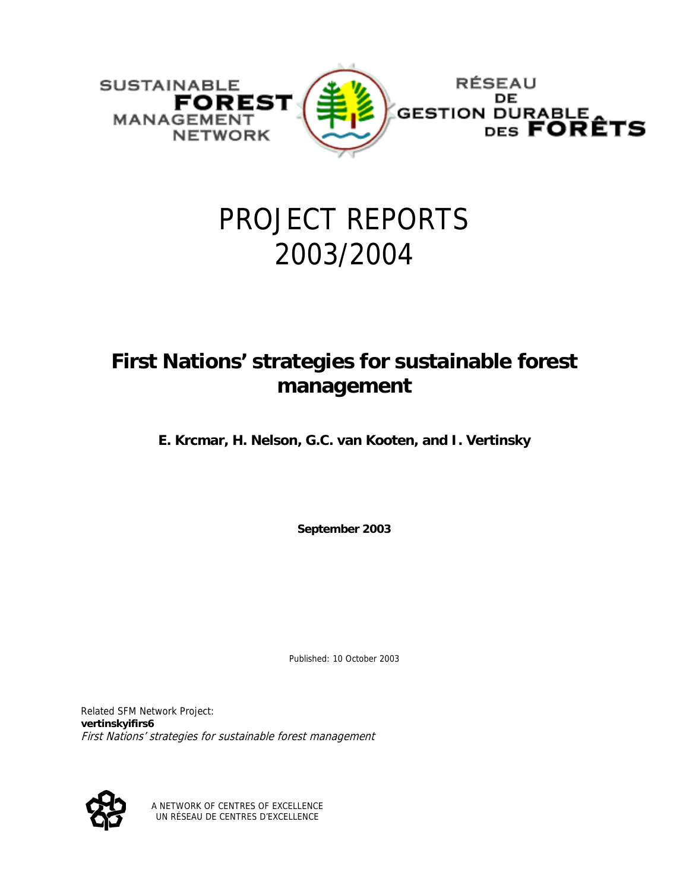

# PROJECT REPORTS 2003/2004

## **First Nations' strategies for sustainable forest management**

**E. Krcmar, H. Nelson, G.C. van Kooten, and I. Vertinsky** 

**September 2003** 

Published: 10 October 2003

Related SFM Network Project: **vertinskyifirs6** First Nations' strategies for sustainable forest management



A NETWORK OF CENTRES OF EXCELLENCE UN RÉSEAU DE CENTRES D'EXCELLENCE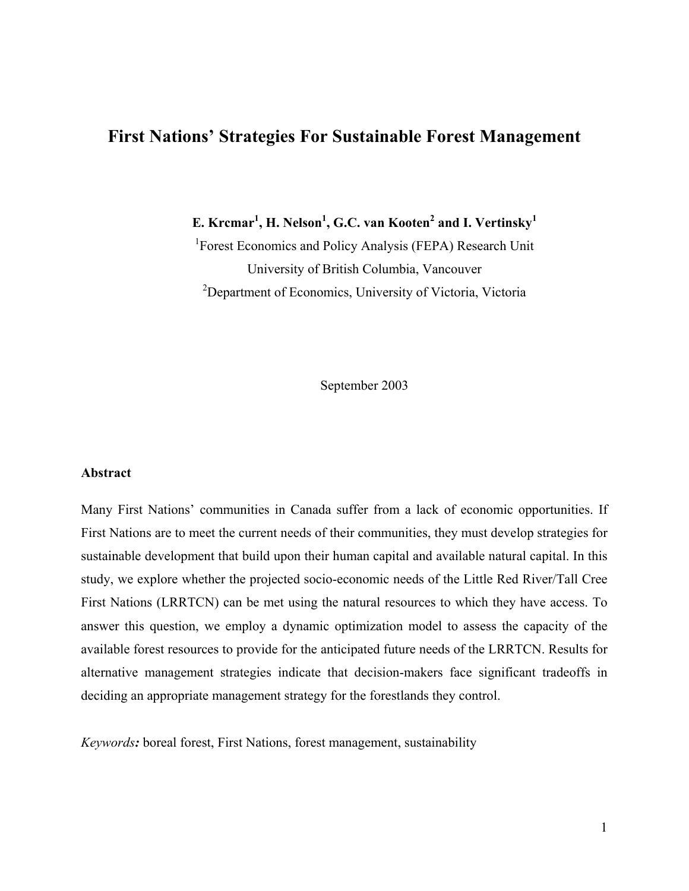### **First Nations' Strategies For Sustainable Forest Management**

 $\mathbf{E}.$  Kr $\mathbf{c}$ mar<sup>1</sup>, **H.** Nelson<sup>1</sup>, G.C. van Kooten<sup>2</sup> and I. Vertinsky<sup>1</sup>

<sup>1</sup>Forest Economics and Policy Analysis (FEPA) Research Unit University of British Columbia, Vancouver <sup>2</sup>Department of Economics, University of Victoria, Victoria

September 2003

#### **Abstract**

Many First Nations' communities in Canada suffer from a lack of economic opportunities. If First Nations are to meet the current needs of their communities, they must develop strategies for sustainable development that build upon their human capital and available natural capital. In this study, we explore whether the projected socio-economic needs of the Little Red River/Tall Cree First Nations (LRRTCN) can be met using the natural resources to which they have access. To answer this question, we employ a dynamic optimization model to assess the capacity of the available forest resources to provide for the anticipated future needs of the LRRTCN. Results for alternative management strategies indicate that decision-makers face significant tradeoffs in deciding an appropriate management strategy for the forestlands they control.

*Keywords:* boreal forest, First Nations, forest management, sustainability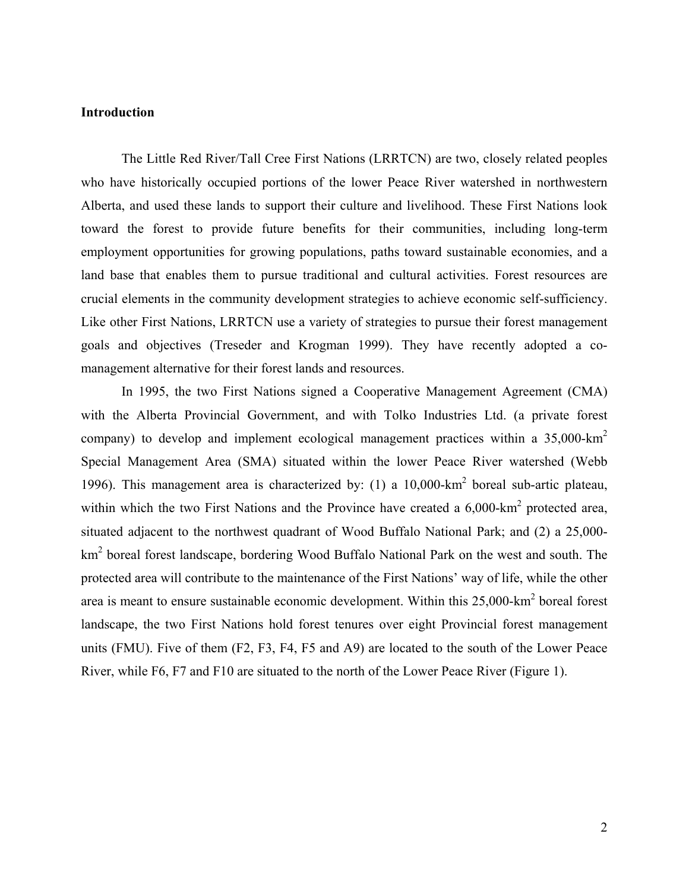#### **Introduction**

The Little Red River/Tall Cree First Nations (LRRTCN) are two, closely related peoples who have historically occupied portions of the lower Peace River watershed in northwestern Alberta, and used these lands to support their culture and livelihood. These First Nations look toward the forest to provide future benefits for their communities, including long-term employment opportunities for growing populations, paths toward sustainable economies, and a land base that enables them to pursue traditional and cultural activities. Forest resources are crucial elements in the community development strategies to achieve economic self-sufficiency. Like other First Nations, LRRTCN use a variety of strategies to pursue their forest management goals and objectives (Treseder and Krogman 1999). They have recently adopted a comanagement alternative for their forest lands and resources.

In 1995, the two First Nations signed a Cooperative Management Agreement (CMA) with the Alberta Provincial Government, and with Tolko Industries Ltd. (a private forest company) to develop and implement ecological management practices within a 35,000-km2 Special Management Area (SMA) situated within the lower Peace River watershed (Webb 1996). This management area is characterized by:  $(1)$  a 10,000-km<sup>2</sup> boreal sub-artic plateau, within which the two First Nations and the Province have created a  $6,000\text{-}km^2$  protected area, situated adjacent to the northwest quadrant of Wood Buffalo National Park; and (2) a 25,000 km<sup>2</sup> boreal forest landscape, bordering Wood Buffalo National Park on the west and south. The protected area will contribute to the maintenance of the First Nations' way of life, while the other area is meant to ensure sustainable economic development. Within this  $25,000$ -km<sup>2</sup> boreal forest landscape, the two First Nations hold forest tenures over eight Provincial forest management units (FMU). Five of them (F2, F3, F4, F5 and A9) are located to the south of the Lower Peace River, while F6, F7 and F10 are situated to the north of the Lower Peace River (Figure 1).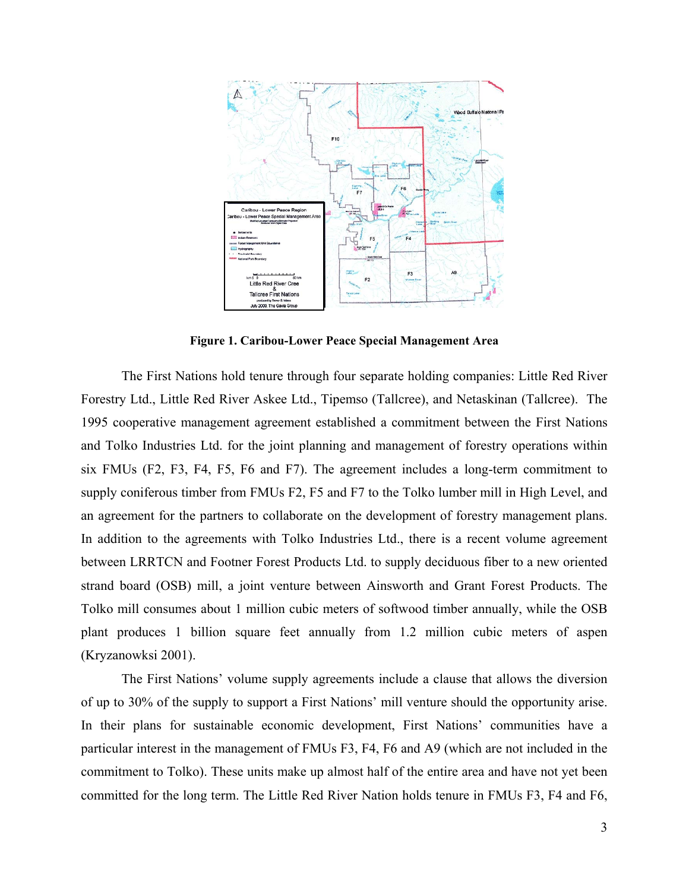

**Figure 1. Caribou-Lower Peace Special Management Area** 

The First Nations hold tenure through four separate holding companies: Little Red River Forestry Ltd., Little Red River Askee Ltd., Tipemso (Tallcree), and Netaskinan (Tallcree). The 1995 cooperative management agreement established a commitment between the First Nations and Tolko Industries Ltd. for the joint planning and management of forestry operations within six FMUs (F2, F3, F4, F5, F6 and F7). The agreement includes a long-term commitment to supply coniferous timber from FMUs F2, F5 and F7 to the Tolko lumber mill in High Level, and an agreement for the partners to collaborate on the development of forestry management plans. In addition to the agreements with Tolko Industries Ltd., there is a recent volume agreement between LRRTCN and Footner Forest Products Ltd. to supply deciduous fiber to a new oriented strand board (OSB) mill, a joint venture between Ainsworth and Grant Forest Products. The Tolko mill consumes about 1 million cubic meters of softwood timber annually, while the OSB plant produces 1 billion square feet annually from 1.2 million cubic meters of aspen (Kryzanowksi 2001).

The First Nations' volume supply agreements include a clause that allows the diversion of up to 30% of the supply to support a First Nations' mill venture should the opportunity arise. In their plans for sustainable economic development, First Nations' communities have a particular interest in the management of FMUs F3, F4, F6 and A9 (which are not included in the commitment to Tolko). These units make up almost half of the entire area and have not yet been committed for the long term. The Little Red River Nation holds tenure in FMUs F3, F4 and F6,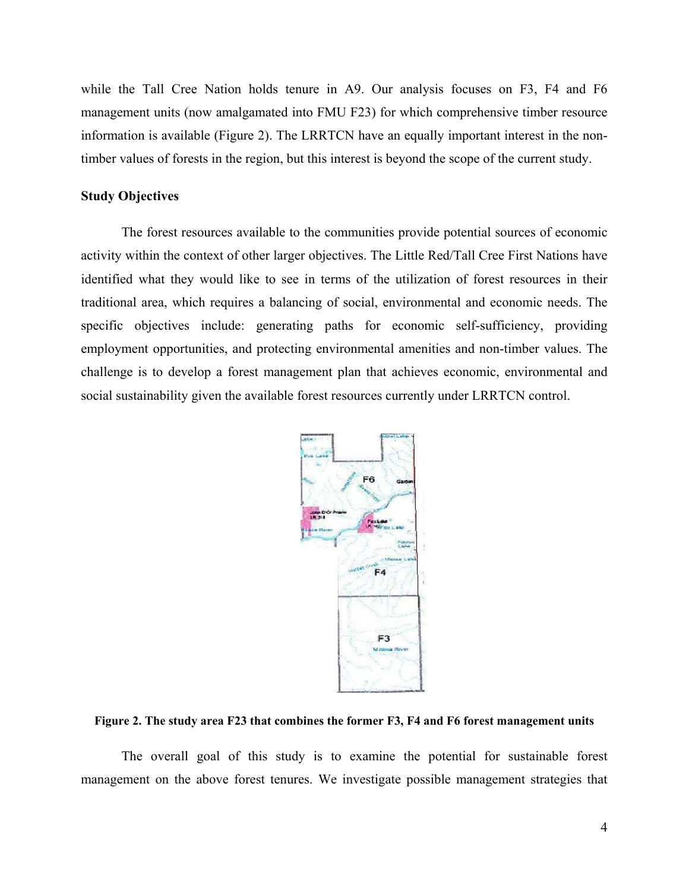while the Tall Cree Nation holds tenure in A9. Our analysis focuses on F3, F4 and F6 management units (now amalgamated into FMU F23) for which comprehensive timber resource information is available (Figure 2). The LRRTCN have an equally important interest in the nontimber values of forests in the region, but this interest is beyond the scope of the current study.

#### **Study Objectives**

The forest resources available to the communities provide potential sources of economic activity within the context of other larger objectives. The Little Red/Tall Cree First Nations have identified what they would like to see in terms of the utilization of forest resources in their traditional area, which requires a balancing of social, environmental and economic needs. The specific objectives include: generating paths for economic self-sufficiency, providing employment opportunities, and protecting environmental amenities and non-timber values. The challenge is to develop a forest management plan that achieves economic, environmental and social sustainability given the available forest resources currently under LRRTCN control.



**Figure 2. The study area F23 that combines the former F3, F4 and F6 forest management units** 

The overall goal of this study is to examine the potential for sustainable forest management on the above forest tenures. We investigate possible management strategies that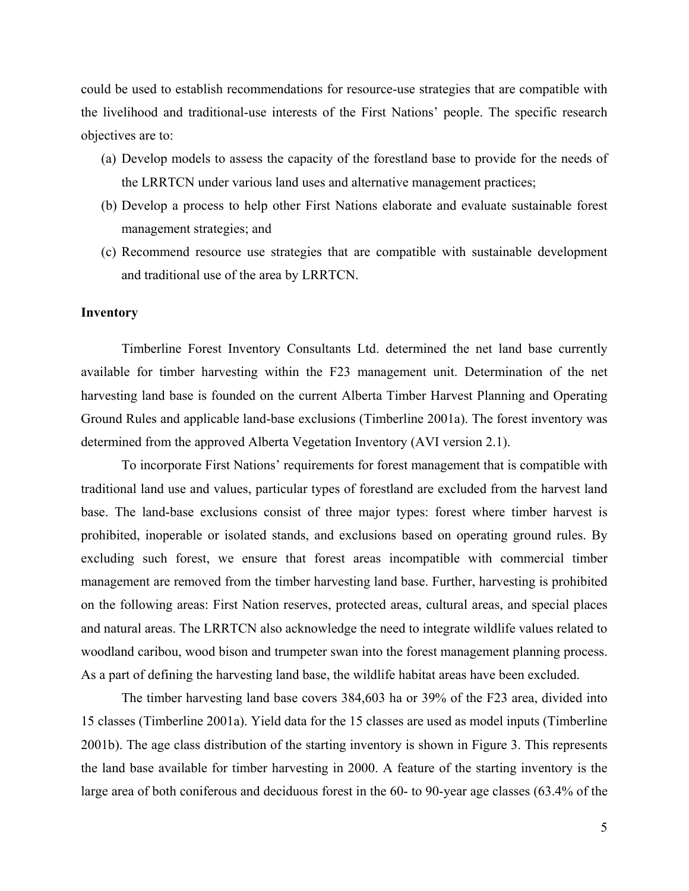could be used to establish recommendations for resource-use strategies that are compatible with the livelihood and traditional-use interests of the First Nations' people. The specific research objectives are to:

- (a) Develop models to assess the capacity of the forestland base to provide for the needs of the LRRTCN under various land uses and alternative management practices;
- (b) Develop a process to help other First Nations elaborate and evaluate sustainable forest management strategies; and
- (c) Recommend resource use strategies that are compatible with sustainable development and traditional use of the area by LRRTCN.

#### **Inventory**

Timberline Forest Inventory Consultants Ltd. determined the net land base currently available for timber harvesting within the F23 management unit. Determination of the net harvesting land base is founded on the current Alberta Timber Harvest Planning and Operating Ground Rules and applicable land-base exclusions (Timberline 2001a). The forest inventory was determined from the approved Alberta Vegetation Inventory (AVI version 2.1).

To incorporate First Nations' requirements for forest management that is compatible with traditional land use and values, particular types of forestland are excluded from the harvest land base. The land-base exclusions consist of three major types: forest where timber harvest is prohibited, inoperable or isolated stands, and exclusions based on operating ground rules. By excluding such forest, we ensure that forest areas incompatible with commercial timber management are removed from the timber harvesting land base. Further, harvesting is prohibited on the following areas: First Nation reserves, protected areas, cultural areas, and special places and natural areas. The LRRTCN also acknowledge the need to integrate wildlife values related to woodland caribou, wood bison and trumpeter swan into the forest management planning process. As a part of defining the harvesting land base, the wildlife habitat areas have been excluded.

The timber harvesting land base covers 384,603 ha or 39% of the F23 area, divided into 15 classes (Timberline 2001a). Yield data for the 15 classes are used as model inputs (Timberline 2001b). The age class distribution of the starting inventory is shown in Figure 3. This represents the land base available for timber harvesting in 2000. A feature of the starting inventory is the large area of both coniferous and deciduous forest in the 60- to 90-year age classes (63.4% of the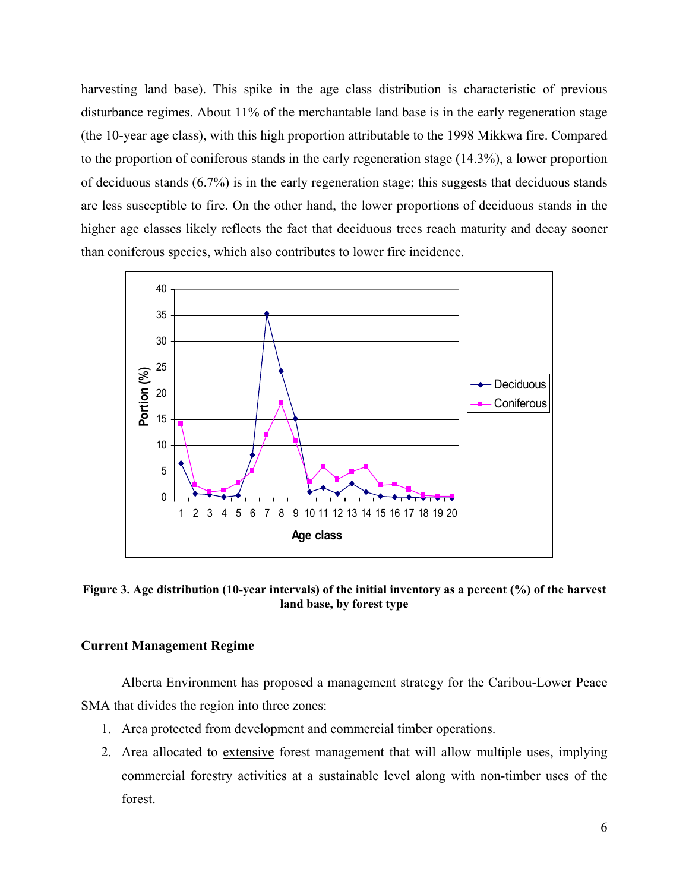harvesting land base). This spike in the age class distribution is characteristic of previous disturbance regimes. About 11% of the merchantable land base is in the early regeneration stage (the 10-year age class), with this high proportion attributable to the 1998 Mikkwa fire. Compared to the proportion of coniferous stands in the early regeneration stage (14.3%), a lower proportion of deciduous stands (6.7%) is in the early regeneration stage; this suggests that deciduous stands are less susceptible to fire. On the other hand, the lower proportions of deciduous stands in the higher age classes likely reflects the fact that deciduous trees reach maturity and decay sooner than coniferous species, which also contributes to lower fire incidence.



**Figure 3. Age distribution (10-year intervals) of the initial inventory as a percent (%) of the harvest land base, by forest type** 

#### **Current Management Regime**

Alberta Environment has proposed a management strategy for the Caribou-Lower Peace SMA that divides the region into three zones:

- 1. Area protected from development and commercial timber operations.
- 2. Area allocated to extensive forest management that will allow multiple uses, implying commercial forestry activities at a sustainable level along with non-timber uses of the forest.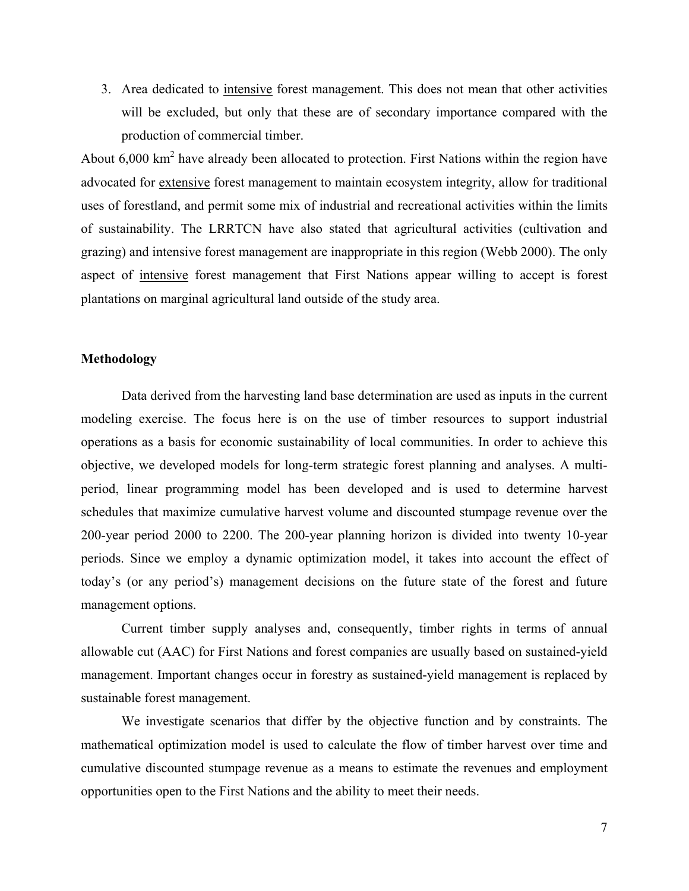3. Area dedicated to intensive forest management. This does not mean that other activities will be excluded, but only that these are of secondary importance compared with the production of commercial timber.

About  $6,000 \text{ km}^2$  have already been allocated to protection. First Nations within the region have advocated for extensive forest management to maintain ecosystem integrity, allow for traditional uses of forestland, and permit some mix of industrial and recreational activities within the limits of sustainability. The LRRTCN have also stated that agricultural activities (cultivation and grazing) and intensive forest management are inappropriate in this region (Webb 2000). The only aspect of intensive forest management that First Nations appear willing to accept is forest plantations on marginal agricultural land outside of the study area.

#### **Methodology**

Data derived from the harvesting land base determination are used as inputs in the current modeling exercise. The focus here is on the use of timber resources to support industrial operations as a basis for economic sustainability of local communities. In order to achieve this objective, we developed models for long-term strategic forest planning and analyses. A multiperiod, linear programming model has been developed and is used to determine harvest schedules that maximize cumulative harvest volume and discounted stumpage revenue over the 200-year period 2000 to 2200. The 200-year planning horizon is divided into twenty 10-year periods. Since we employ a dynamic optimization model, it takes into account the effect of today's (or any period's) management decisions on the future state of the forest and future management options.

Current timber supply analyses and, consequently, timber rights in terms of annual allowable cut (AAC) for First Nations and forest companies are usually based on sustained-yield management. Important changes occur in forestry as sustained-yield management is replaced by sustainable forest management.

We investigate scenarios that differ by the objective function and by constraints. The mathematical optimization model is used to calculate the flow of timber harvest over time and cumulative discounted stumpage revenue as a means to estimate the revenues and employment opportunities open to the First Nations and the ability to meet their needs.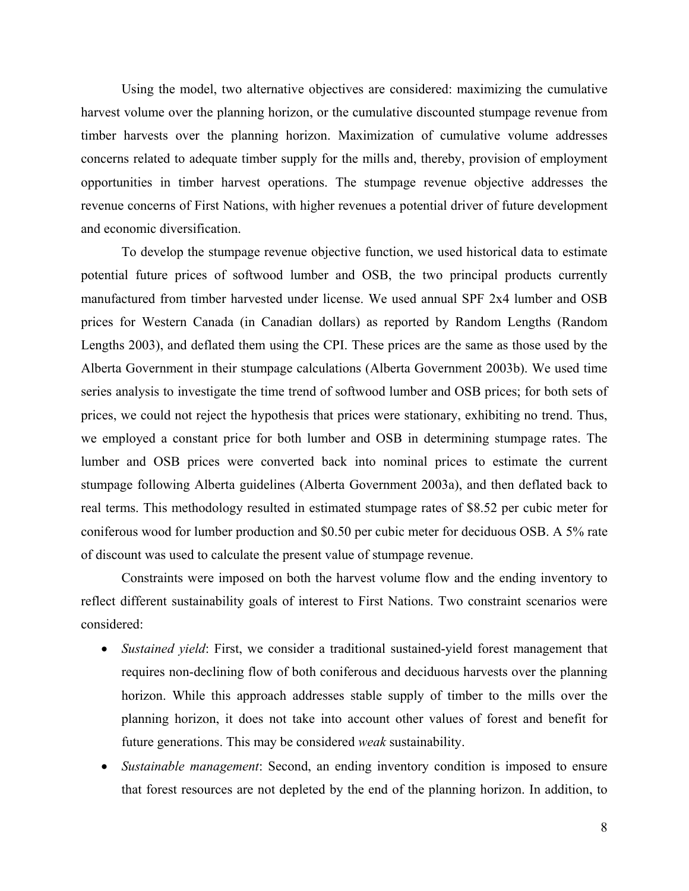Using the model, two alternative objectives are considered: maximizing the cumulative harvest volume over the planning horizon, or the cumulative discounted stumpage revenue from timber harvests over the planning horizon. Maximization of cumulative volume addresses concerns related to adequate timber supply for the mills and, thereby, provision of employment opportunities in timber harvest operations. The stumpage revenue objective addresses the revenue concerns of First Nations, with higher revenues a potential driver of future development and economic diversification.

To develop the stumpage revenue objective function, we used historical data to estimate potential future prices of softwood lumber and OSB, the two principal products currently manufactured from timber harvested under license. We used annual SPF 2x4 lumber and OSB prices for Western Canada (in Canadian dollars) as reported by Random Lengths (Random Lengths 2003), and deflated them using the CPI. These prices are the same as those used by the Alberta Government in their stumpage calculations (Alberta Government 2003b). We used time series analysis to investigate the time trend of softwood lumber and OSB prices; for both sets of prices, we could not reject the hypothesis that prices were stationary, exhibiting no trend. Thus, we employed a constant price for both lumber and OSB in determining stumpage rates. The lumber and OSB prices were converted back into nominal prices to estimate the current stumpage following Alberta guidelines (Alberta Government 2003a), and then deflated back to real terms. This methodology resulted in estimated stumpage rates of \$8.52 per cubic meter for coniferous wood for lumber production and \$0.50 per cubic meter for deciduous OSB. A 5% rate of discount was used to calculate the present value of stumpage revenue.

Constraints were imposed on both the harvest volume flow and the ending inventory to reflect different sustainability goals of interest to First Nations. Two constraint scenarios were considered:

- *Sustained yield*: First, we consider a traditional sustained-yield forest management that requires non-declining flow of both coniferous and deciduous harvests over the planning horizon. While this approach addresses stable supply of timber to the mills over the planning horizon, it does not take into account other values of forest and benefit for future generations. This may be considered *weak* sustainability.
- *Sustainable management*: Second, an ending inventory condition is imposed to ensure that forest resources are not depleted by the end of the planning horizon. In addition, to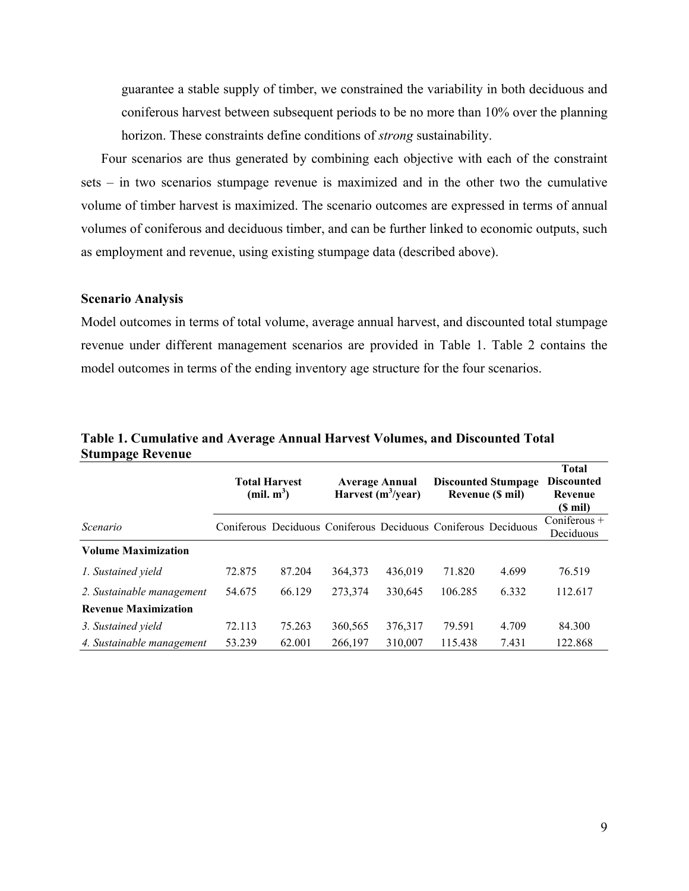guarantee a stable supply of timber, we constrained the variability in both deciduous and coniferous harvest between subsequent periods to be no more than 10% over the planning horizon. These constraints define conditions of *strong* sustainability.

Four scenarios are thus generated by combining each objective with each of the constraint sets – in two scenarios stumpage revenue is maximized and in the other two the cumulative volume of timber harvest is maximized. The scenario outcomes are expressed in terms of annual volumes of coniferous and deciduous timber, and can be further linked to economic outputs, such as employment and revenue, using existing stumpage data (described above).

#### **Scenario Analysis**

Model outcomes in terms of total volume, average annual harvest, and discounted total stumpage revenue under different management scenarios are provided in Table 1. Table 2 contains the model outcomes in terms of the ending inventory age structure for the four scenarios.

|                             | <b>Total Harvest</b><br>(mil. m <sup>3</sup> ) |        | <b>Average Annual</b><br>Harvest $(m^3$ /year)                 |         | <b>Discounted Stumpage</b><br>Revenue (\$ mil) |       | <b>Total</b><br><b>Discounted</b><br>Revenue<br>(\$ mil) |
|-----------------------------|------------------------------------------------|--------|----------------------------------------------------------------|---------|------------------------------------------------|-------|----------------------------------------------------------|
| Scenario                    |                                                |        | Coniferous Deciduous Coniferous Deciduous Coniferous Deciduous |         |                                                |       | Coniferous +<br>Deciduous                                |
| <b>Volume Maximization</b>  |                                                |        |                                                                |         |                                                |       |                                                          |
| 1. Sustained yield          | 72.875                                         | 87.204 | 364,373                                                        | 436,019 | 71.820                                         | 4.699 | 76.519                                                   |
| 2. Sustainable management   | 54.675                                         | 66.129 | 273,374                                                        | 330,645 | 106.285                                        | 6.332 | 112.617                                                  |
| <b>Revenue Maximization</b> |                                                |        |                                                                |         |                                                |       |                                                          |
| 3. Sustained yield          | 72.113                                         | 75.263 | 360,565                                                        | 376,317 | 79.591                                         | 4.709 | 84.300                                                   |
| 4. Sustainable management   | 53.239                                         | 62.001 | 266,197                                                        | 310.007 | 115.438                                        | 7.431 | 122.868                                                  |

**Table 1. Cumulative and Average Annual Harvest Volumes, and Discounted Total Stumpage Revenue**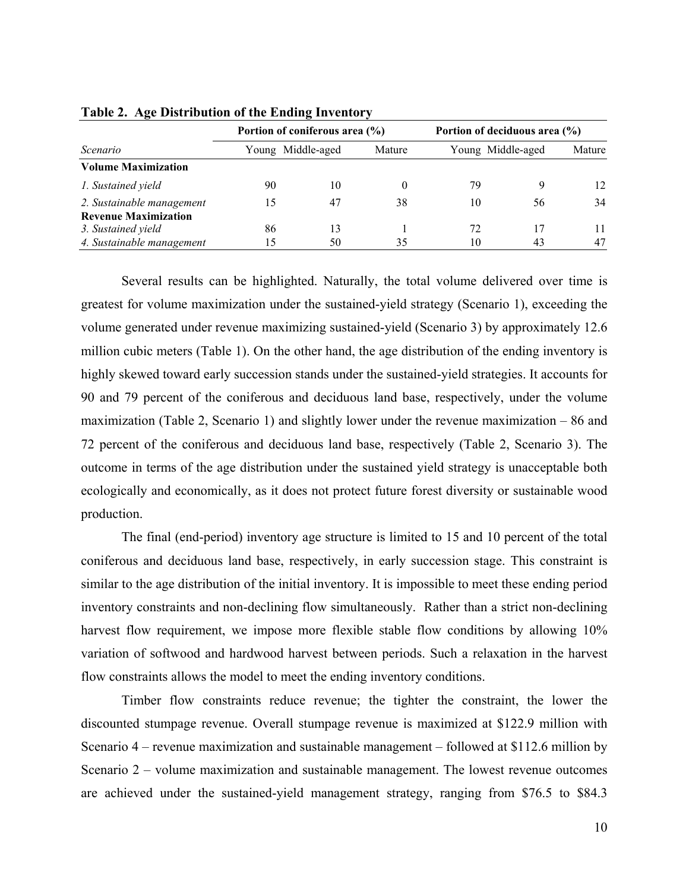| Scenario                    |    | Portion of coniferous area (%) |          | Portion of deciduous area (%) |    |        |
|-----------------------------|----|--------------------------------|----------|-------------------------------|----|--------|
|                             |    | Young Middle-aged              | Mature   | Young Middle-aged             |    | Mature |
| <b>Volume Maximization</b>  |    |                                |          |                               |    |        |
| 1. Sustained yield          | 90 | 10                             | $\theta$ | 79                            |    | 12.    |
| 2. Sustainable management   | 15 | 47                             | 38       | 10                            | 56 | 34     |
| <b>Revenue Maximization</b> |    |                                |          |                               |    |        |
| 3. Sustained yield          | 86 | 13                             |          | 72                            |    |        |
| 4. Sustainable management   |    | 50                             | 35       | 10                            | 43 | 47     |

#### **Table 2. Age Distribution of the Ending Inventory**

Several results can be highlighted. Naturally, the total volume delivered over time is greatest for volume maximization under the sustained-yield strategy (Scenario 1), exceeding the volume generated under revenue maximizing sustained-yield (Scenario 3) by approximately 12.6 million cubic meters (Table 1). On the other hand, the age distribution of the ending inventory is highly skewed toward early succession stands under the sustained-yield strategies. It accounts for 90 and 79 percent of the coniferous and deciduous land base, respectively, under the volume maximization (Table 2, Scenario 1) and slightly lower under the revenue maximization – 86 and 72 percent of the coniferous and deciduous land base, respectively (Table 2, Scenario 3). The outcome in terms of the age distribution under the sustained yield strategy is unacceptable both ecologically and economically, as it does not protect future forest diversity or sustainable wood production.

The final (end-period) inventory age structure is limited to 15 and 10 percent of the total coniferous and deciduous land base, respectively, in early succession stage. This constraint is similar to the age distribution of the initial inventory. It is impossible to meet these ending period inventory constraints and non-declining flow simultaneously. Rather than a strict non-declining harvest flow requirement, we impose more flexible stable flow conditions by allowing 10% variation of softwood and hardwood harvest between periods. Such a relaxation in the harvest flow constraints allows the model to meet the ending inventory conditions.

Timber flow constraints reduce revenue; the tighter the constraint, the lower the discounted stumpage revenue. Overall stumpage revenue is maximized at \$122.9 million with Scenario 4 – revenue maximization and sustainable management – followed at \$112.6 million by Scenario 2 – volume maximization and sustainable management. The lowest revenue outcomes are achieved under the sustained-yield management strategy, ranging from \$76.5 to \$84.3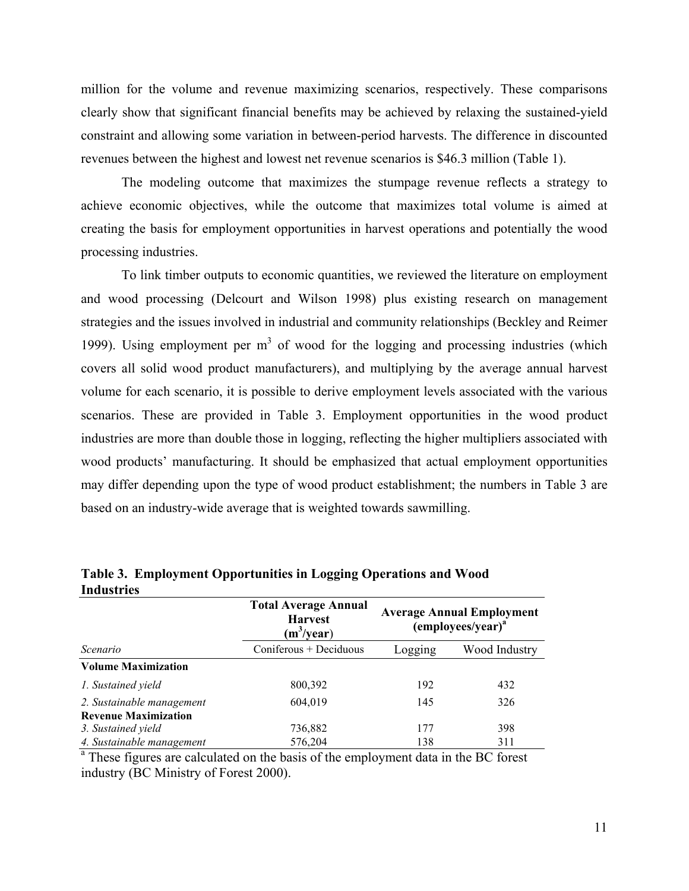million for the volume and revenue maximizing scenarios, respectively. These comparisons clearly show that significant financial benefits may be achieved by relaxing the sustained-yield constraint and allowing some variation in between-period harvests. The difference in discounted revenues between the highest and lowest net revenue scenarios is \$46.3 million (Table 1).

The modeling outcome that maximizes the stumpage revenue reflects a strategy to achieve economic objectives, while the outcome that maximizes total volume is aimed at creating the basis for employment opportunities in harvest operations and potentially the wood processing industries.

To link timber outputs to economic quantities, we reviewed the literature on employment and wood processing (Delcourt and Wilson 1998) plus existing research on management strategies and the issues involved in industrial and community relationships (Beckley and Reimer 1999). Using employment per  $m<sup>3</sup>$  of wood for the logging and processing industries (which covers all solid wood product manufacturers), and multiplying by the average annual harvest volume for each scenario, it is possible to derive employment levels associated with the various scenarios. These are provided in Table 3. Employment opportunities in the wood product industries are more than double those in logging, reflecting the higher multipliers associated with wood products' manufacturing. It should be emphasized that actual employment opportunities may differ depending upon the type of wood product establishment; the numbers in Table 3 are based on an industry-wide average that is weighted towards sawmilling.

| Thuustries                  |                                                                |                                                          |               |  |
|-----------------------------|----------------------------------------------------------------|----------------------------------------------------------|---------------|--|
|                             | <b>Total Average Annual</b><br><b>Harvest</b><br>$(m^3$ /year) | <b>Average Annual Employment</b><br>$(employees/year)^a$ |               |  |
| Scenario                    | Coniferous + Deciduous                                         | Logging                                                  | Wood Industry |  |
| <b>Volume Maximization</b>  |                                                                |                                                          |               |  |
| 1. Sustained yield          | 800,392                                                        | 192                                                      | 432           |  |
| 2. Sustainable management   | 604,019                                                        | 145                                                      | 326           |  |
| <b>Revenue Maximization</b> |                                                                |                                                          |               |  |
| 3. Sustained yield          | 736,882                                                        | 177                                                      | 398           |  |
| 4. Sustainable management   | 576,204                                                        | 138                                                      | 311           |  |

**Table 3. Employment Opportunities in Logging Operations and Wood Industries** 

<sup>a</sup> These figures are calculated on the basis of the employment data in the BC forest industry (BC Ministry of Forest 2000).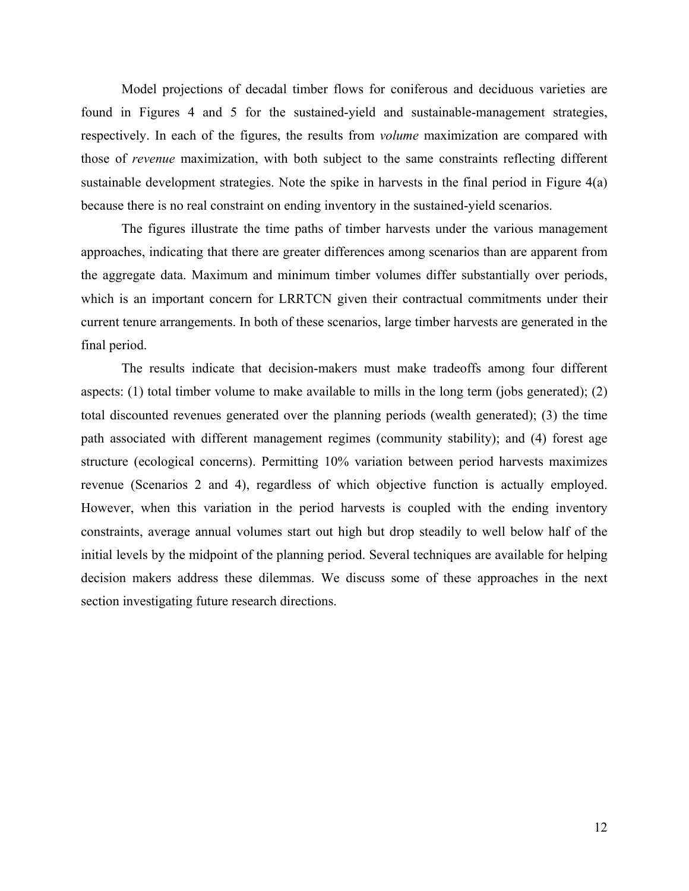Model projections of decadal timber flows for coniferous and deciduous varieties are found in Figures 4 and 5 for the sustained-yield and sustainable-management strategies, respectively. In each of the figures, the results from *volume* maximization are compared with those of *revenue* maximization, with both subject to the same constraints reflecting different sustainable development strategies. Note the spike in harvests in the final period in Figure 4(a) because there is no real constraint on ending inventory in the sustained-yield scenarios.

The figures illustrate the time paths of timber harvests under the various management approaches, indicating that there are greater differences among scenarios than are apparent from the aggregate data. Maximum and minimum timber volumes differ substantially over periods, which is an important concern for LRRTCN given their contractual commitments under their current tenure arrangements. In both of these scenarios, large timber harvests are generated in the final period.

The results indicate that decision-makers must make tradeoffs among four different aspects: (1) total timber volume to make available to mills in the long term (jobs generated); (2) total discounted revenues generated over the planning periods (wealth generated); (3) the time path associated with different management regimes (community stability); and (4) forest age structure (ecological concerns). Permitting 10% variation between period harvests maximizes revenue (Scenarios 2 and 4), regardless of which objective function is actually employed. However, when this variation in the period harvests is coupled with the ending inventory constraints, average annual volumes start out high but drop steadily to well below half of the initial levels by the midpoint of the planning period. Several techniques are available for helping decision makers address these dilemmas. We discuss some of these approaches in the next section investigating future research directions.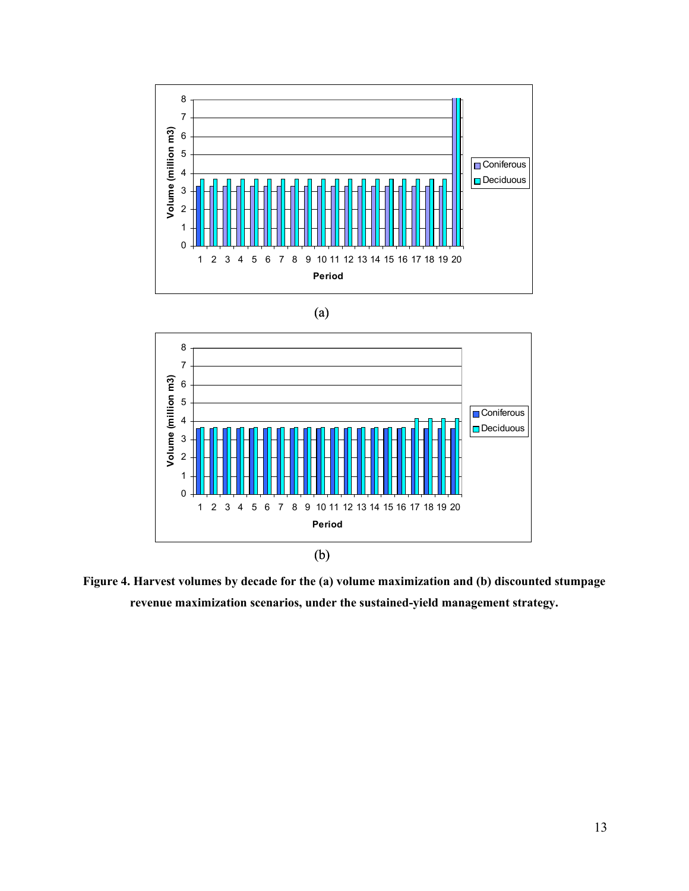





**Figure 4. Harvest volumes by decade for the (a) volume maximization and (b) discounted stumpage revenue maximization scenarios, under the sustained-yield management strategy.**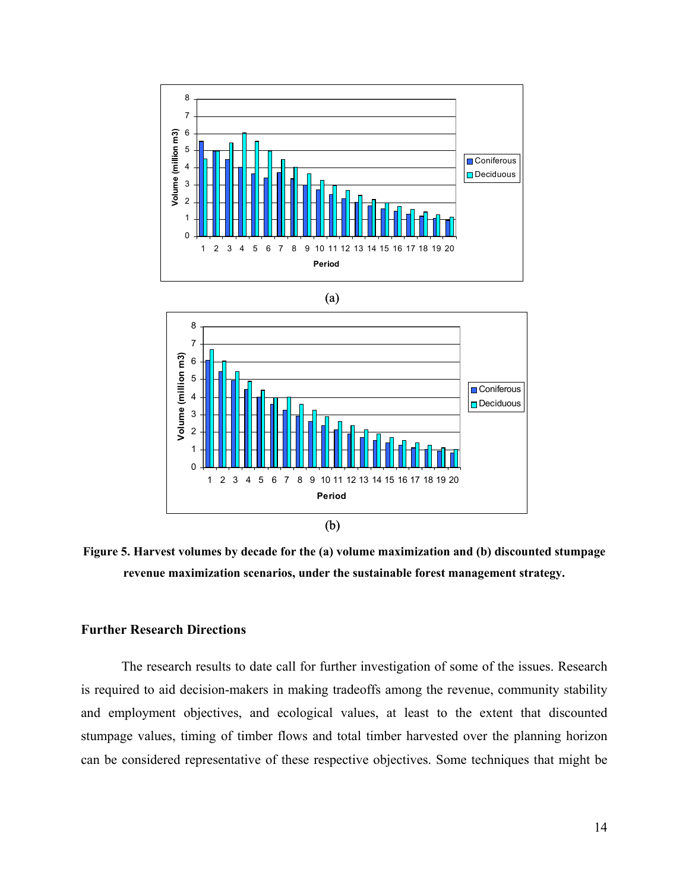





**Figure 5. Harvest volumes by decade for the (a) volume maximization and (b) discounted stumpage revenue maximization scenarios, under the sustainable forest management strategy.** 

#### **Further Research Directions**

The research results to date call for further investigation of some of the issues. Research is required to aid decision-makers in making tradeoffs among the revenue, community stability and employment objectives, and ecological values, at least to the extent that discounted stumpage values, timing of timber flows and total timber harvested over the planning horizon can be considered representative of these respective objectives. Some techniques that might be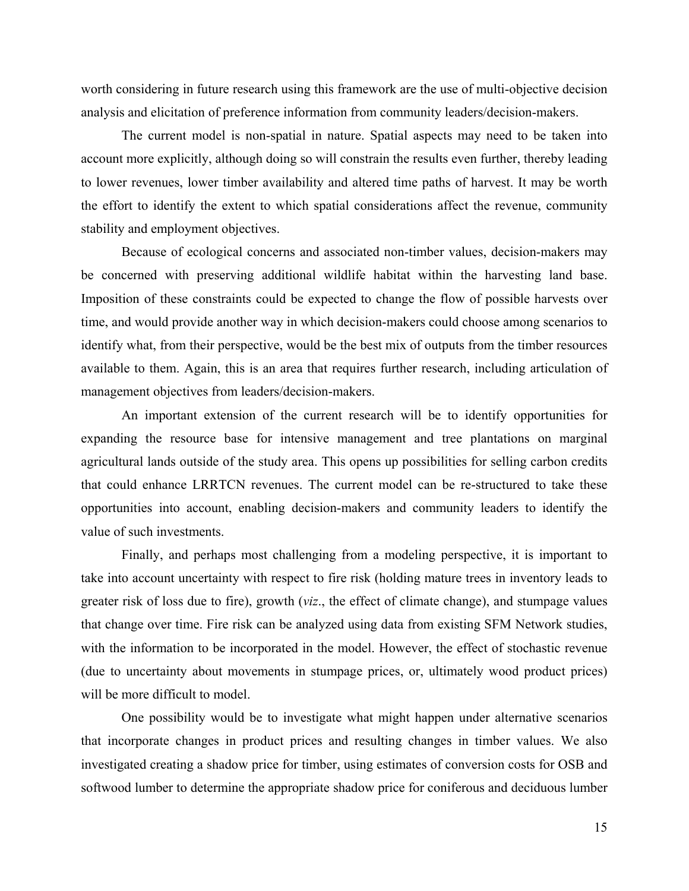worth considering in future research using this framework are the use of multi-objective decision analysis and elicitation of preference information from community leaders/decision-makers.

The current model is non-spatial in nature. Spatial aspects may need to be taken into account more explicitly, although doing so will constrain the results even further, thereby leading to lower revenues, lower timber availability and altered time paths of harvest. It may be worth the effort to identify the extent to which spatial considerations affect the revenue, community stability and employment objectives.

Because of ecological concerns and associated non-timber values, decision-makers may be concerned with preserving additional wildlife habitat within the harvesting land base. Imposition of these constraints could be expected to change the flow of possible harvests over time, and would provide another way in which decision-makers could choose among scenarios to identify what, from their perspective, would be the best mix of outputs from the timber resources available to them. Again, this is an area that requires further research, including articulation of management objectives from leaders/decision-makers.

An important extension of the current research will be to identify opportunities for expanding the resource base for intensive management and tree plantations on marginal agricultural lands outside of the study area. This opens up possibilities for selling carbon credits that could enhance LRRTCN revenues. The current model can be re-structured to take these opportunities into account, enabling decision-makers and community leaders to identify the value of such investments.

Finally, and perhaps most challenging from a modeling perspective, it is important to take into account uncertainty with respect to fire risk (holding mature trees in inventory leads to greater risk of loss due to fire), growth (*viz*., the effect of climate change), and stumpage values that change over time. Fire risk can be analyzed using data from existing SFM Network studies, with the information to be incorporated in the model. However, the effect of stochastic revenue (due to uncertainty about movements in stumpage prices, or, ultimately wood product prices) will be more difficult to model.

One possibility would be to investigate what might happen under alternative scenarios that incorporate changes in product prices and resulting changes in timber values. We also investigated creating a shadow price for timber, using estimates of conversion costs for OSB and softwood lumber to determine the appropriate shadow price for coniferous and deciduous lumber